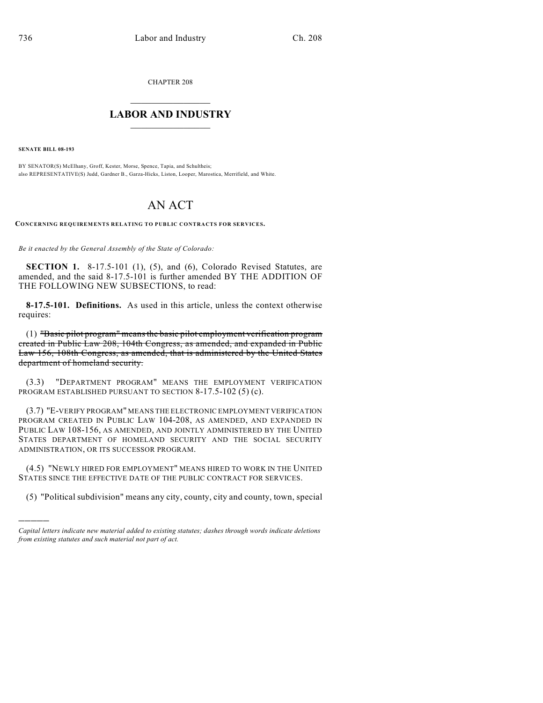CHAPTER 208

## $\mathcal{L}_\text{max}$  . The set of the set of the set of the set of the set of the set of the set of the set of the set of the set of the set of the set of the set of the set of the set of the set of the set of the set of the set **LABOR AND INDUSTRY**  $\frac{1}{\sqrt{2}}$  ,  $\frac{1}{\sqrt{2}}$  ,  $\frac{1}{\sqrt{2}}$  ,  $\frac{1}{\sqrt{2}}$  ,  $\frac{1}{\sqrt{2}}$  ,  $\frac{1}{\sqrt{2}}$

**SENATE BILL 08-193**

)))))

BY SENATOR(S) McElhany, Groff, Kester, Morse, Spence, Tapia, and Schultheis; also REPRESENTATIVE(S) Judd, Gardner B., Garza-Hicks, Liston, Looper, Marostica, Merrifield, and White.

## AN ACT

**CONCERNING REQUIREMENTS RELATING TO PUBLIC CONTRACTS FOR SERVICES.**

*Be it enacted by the General Assembly of the State of Colorado:*

**SECTION 1.** 8-17.5-101 (1), (5), and (6), Colorado Revised Statutes, are amended, and the said 8-17.5-101 is further amended BY THE ADDITION OF THE FOLLOWING NEW SUBSECTIONS, to read:

**8-17.5-101. Definitions.** As used in this article, unless the context otherwise requires:

(1) "Basic pilot program" meansthe basic pilot employment verification program created in Public Law 208, 104th Congress, as amended, and expanded in Public Law 156, 108th Congress, as amended, that is administered by the United States department of homeland security.

(3.3) "DEPARTMENT PROGRAM" MEANS THE EMPLOYMENT VERIFICATION PROGRAM ESTABLISHED PURSUANT TO SECTION 8-17.5-102 (5) (c).

(3.7) "E-VERIFY PROGRAM" MEANS THE ELECTRONIC EMPLOYMENT VERIFICATION PROGRAM CREATED IN PUBLIC LAW 104-208, AS AMENDED, AND EXPANDED IN PUBLIC LAW 108-156, AS AMENDED, AND JOINTLY ADMINISTERED BY THE UNITED STATES DEPARTMENT OF HOMELAND SECURITY AND THE SOCIAL SECURITY ADMINISTRATION, OR ITS SUCCESSOR PROGRAM.

(4.5) "NEWLY HIRED FOR EMPLOYMENT" MEANS HIRED TO WORK IN THE UNITED STATES SINCE THE EFFECTIVE DATE OF THE PUBLIC CONTRACT FOR SERVICES.

(5) "Political subdivision" means any city, county, city and county, town, special

*Capital letters indicate new material added to existing statutes; dashes through words indicate deletions from existing statutes and such material not part of act.*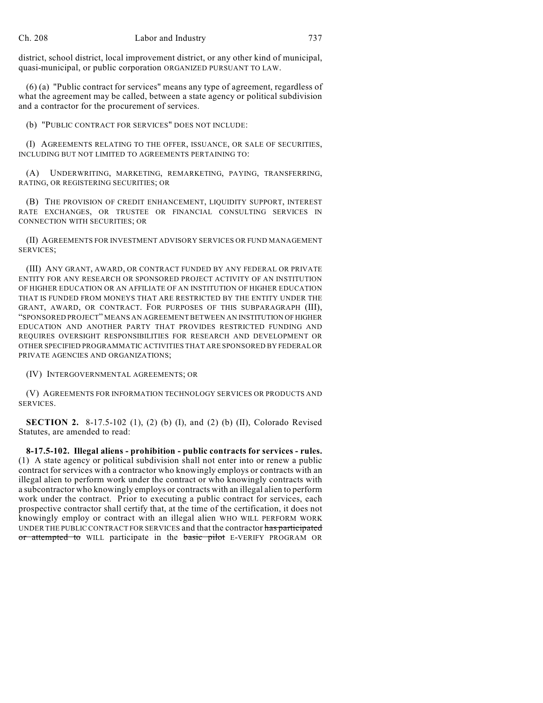district, school district, local improvement district, or any other kind of municipal, quasi-municipal, or public corporation ORGANIZED PURSUANT TO LAW.

(6) (a) "Public contract for services" means any type of agreement, regardless of what the agreement may be called, between a state agency or political subdivision and a contractor for the procurement of services.

(b) "PUBLIC CONTRACT FOR SERVICES" DOES NOT INCLUDE:

(I) AGREEMENTS RELATING TO THE OFFER, ISSUANCE, OR SALE OF SECURITIES, INCLUDING BUT NOT LIMITED TO AGREEMENTS PERTAINING TO:

(A) UNDERWRITING, MARKETING, REMARKETING, PAYING, TRANSFERRING, RATING, OR REGISTERING SECURITIES; OR

(B) THE PROVISION OF CREDIT ENHANCEMENT, LIQUIDITY SUPPORT, INTEREST RATE EXCHANGES, OR TRUSTEE OR FINANCIAL CONSULTING SERVICES IN CONNECTION WITH SECURITIES; OR

(II) AGREEMENTS FOR INVESTMENT ADVISORY SERVICES OR FUND MANAGEMENT SERVICES;

(III) ANY GRANT, AWARD, OR CONTRACT FUNDED BY ANY FEDERAL OR PRIVATE ENTITY FOR ANY RESEARCH OR SPONSORED PROJECT ACTIVITY OF AN INSTITUTION OF HIGHER EDUCATION OR AN AFFILIATE OF AN INSTITUTION OF HIGHER EDUCATION THAT IS FUNDED FROM MONEYS THAT ARE RESTRICTED BY THE ENTITY UNDER THE GRANT, AWARD, OR CONTRACT. FOR PURPOSES OF THIS SUBPARAGRAPH (III), "SPONSORED PROJECT" MEANS AN AGREEMENT BETWEEN AN INSTITUTION OF HIGHER EDUCATION AND ANOTHER PARTY THAT PROVIDES RESTRICTED FUNDING AND REQUIRES OVERSIGHT RESPONSIBILITIES FOR RESEARCH AND DEVELOPMENT OR OTHER SPECIFIED PROGRAMMATIC ACTIVITIES THAT ARE SPONSORED BY FEDERAL OR PRIVATE AGENCIES AND ORGANIZATIONS;

(IV) INTERGOVERNMENTAL AGREEMENTS; OR

(V) AGREEMENTS FOR INFORMATION TECHNOLOGY SERVICES OR PRODUCTS AND SERVICES.

**SECTION 2.** 8-17.5-102 (1), (2) (b) (I), and (2) (b) (II), Colorado Revised Statutes, are amended to read:

**8-17.5-102. Illegal aliens - prohibition - public contracts for services - rules.** (1) A state agency or political subdivision shall not enter into or renew a public contract for services with a contractor who knowingly employs or contracts with an illegal alien to perform work under the contract or who knowingly contracts with a subcontractor who knowingly employs or contracts with an illegal alien to perform work under the contract. Prior to executing a public contract for services, each prospective contractor shall certify that, at the time of the certification, it does not knowingly employ or contract with an illegal alien WHO WILL PERFORM WORK UNDER THE PUBLIC CONTRACT FOR SERVICES and that the contractor has participated or attempted to WILL participate in the basic pilot E-VERIFY PROGRAM OR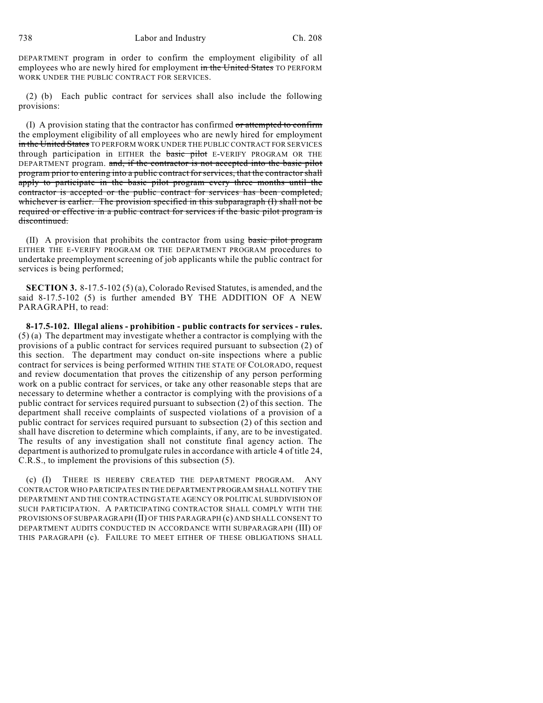738 Labor and Industry Ch. 208

DEPARTMENT program in order to confirm the employment eligibility of all employees who are newly hired for employment in the United States TO PERFORM WORK UNDER THE PUBLIC CONTRACT FOR SERVICES.

(2) (b) Each public contract for services shall also include the following provisions:

(I) A provision stating that the contractor has confirmed or attempted to confirm the employment eligibility of all employees who are newly hired for employment in the United States TO PERFORM WORK UNDER THE PUBLIC CONTRACT FOR SERVICES through participation in EITHER the **basic pilot** E-VERIFY PROGRAM OR THE DEPARTMENT program. and, if the contractor is not accepted into the basic pilot program prior to entering into a public contract for services, that the contractor shall apply to participate in the basic pilot program every three months until the contractor is accepted or the public contract for services has been completed, whichever is earlier. The provision specified in this subparagraph (I) shall not be required or effective in a public contract for services if the basic pilot program is discontinued.

(II) A provision that prohibits the contractor from using basic pilot program EITHER THE E-VERIFY PROGRAM OR THE DEPARTMENT PROGRAM procedures to undertake preemployment screening of job applicants while the public contract for services is being performed;

**SECTION 3.** 8-17.5-102 (5) (a), Colorado Revised Statutes, is amended, and the said 8-17.5-102 (5) is further amended BY THE ADDITION OF A NEW PARAGRAPH, to read:

**8-17.5-102. Illegal aliens - prohibition - public contracts for services - rules.** (5) (a) The department may investigate whether a contractor is complying with the provisions of a public contract for services required pursuant to subsection (2) of this section. The department may conduct on-site inspections where a public contract for services is being performed WITHIN THE STATE OF COLORADO, request and review documentation that proves the citizenship of any person performing work on a public contract for services, or take any other reasonable steps that are necessary to determine whether a contractor is complying with the provisions of a public contract for services required pursuant to subsection (2) of this section. The department shall receive complaints of suspected violations of a provision of a public contract for services required pursuant to subsection (2) of this section and shall have discretion to determine which complaints, if any, are to be investigated. The results of any investigation shall not constitute final agency action. The department is authorized to promulgate rules in accordance with article 4 of title 24, C.R.S., to implement the provisions of this subsection (5).

THERE IS HEREBY CREATED THE DEPARTMENT PROGRAM. ANY CONTRACTOR WHO PARTICIPATES IN THE DEPARTMENT PROGRAM SHALL NOTIFY THE DEPARTMENT AND THE CONTRACTING STATE AGENCY OR POLITICAL SUBDIVISION OF SUCH PARTICIPATION. A PARTICIPATING CONTRACTOR SHALL COMPLY WITH THE PROVISIONS OF SUBPARAGRAPH (II) OF THIS PARAGRAPH (c) AND SHALL CONSENT TO DEPARTMENT AUDITS CONDUCTED IN ACCORDANCE WITH SUBPARAGRAPH (III) OF THIS PARAGRAPH (c). FAILURE TO MEET EITHER OF THESE OBLIGATIONS SHALL